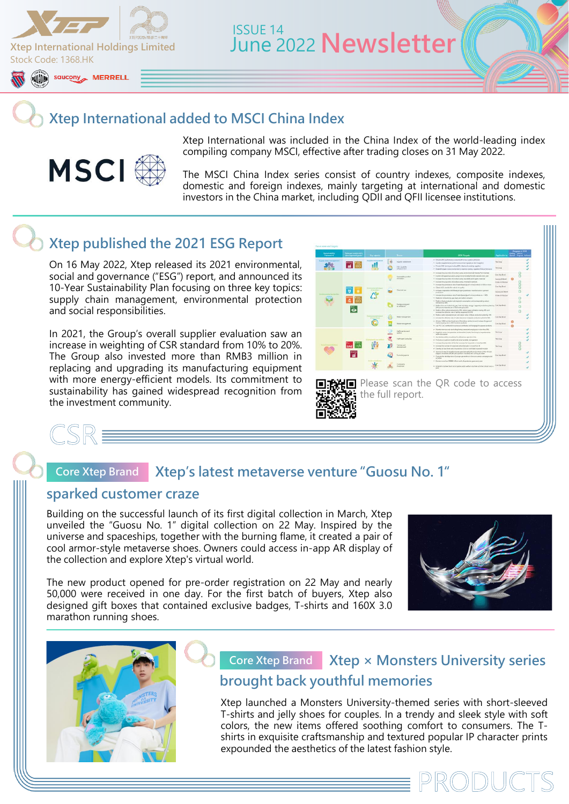

## **Xtep International added to MSCI China Index**



Xtep International was included in the China Index of the world-leading index compiling company MSCI, effective after trading closes on 31 May 2022.

The MSCI China Index series consist of country indexes, composite indexes, domestic and foreign indexes, mainly targeting at international and domestic investors in the China market, including QDII and QFII licensee institutions.

## **Xtep published the 2021 ESG Report**

On 16 May 2022, Xtep released its 2021 environmental, social and governance ("ESG") report, and announced its 10-Year Sustainability Plan focusing on three key topics: supply chain management, environmental protection and social responsibilities.

In 2021, the Group's overall supplier evaluation saw an increase in weighting of CSR standard from 10% to 20%. The Group also invested more than RMB3 million in replacing and upgrading its manufacturing equipment with more energy-efficient models. Its commitment to sustainability has gained widespread recognition from the investment community.



### **Xtep's latest metaverse venture "Guosu No. 1" Core Xtep Brand**

## **sparked customer craze**

'SR'

Building on the successful launch of its first digital collection in March, Xtep unveiled the "Guosu No. 1" digital collection on 22 May. Inspired by the universe and spaceships, together with the burning flame, it created a pair of cool armor-style metaverse shoes. Owners could access in-app AR display of the collection and explore Xtep's virtual world.

The new product opened for pre-order registration on 22 May and nearly 50,000 were received in one day. For the first batch of buyers, Xtep also designed gift boxes that contained exclusive badges, T-shirts and 160X 3.0 marathon running shoes.





## **Core Xtep Brand** Xtep  $\times$  Monsters University series **brought back youthful memories**

Xtep launched a Monsters University-themed series with short-sleeved T-shirts and jelly shoes for couples. In a trendy and sleek style with soft colors, the new items offered soothing comfort to consumers. The Tshirts in exquisite craftsmanship and textured popular IP character prints expounded the aesthetics of the latest fashion style.